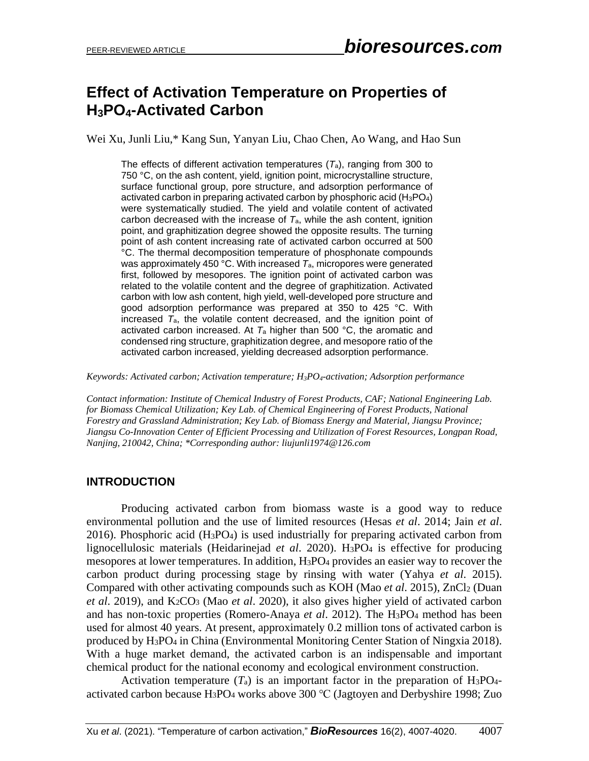# **Effect of Activation Temperature on Properties of H3PO4-Activated Carbon**

Wei Xu, Junli Liu,\* Kang Sun, Yanyan Liu, Chao Chen, Ao Wang, and Hao Sun

The effects of different activation temperatures (*T*a), ranging from 300 to 750 °C, on the ash content, yield, ignition point, microcrystalline structure, surface functional group, pore structure, and adsorption performance of activated carbon in preparing activated carbon by phosphoric acid  $(H_3PO_4)$ were systematically studied. The yield and volatile content of activated carbon decreased with the increase of *T*a, while the ash content, ignition point, and graphitization degree showed the opposite results. The turning point of ash content increasing rate of activated carbon occurred at 500 °C. The thermal decomposition temperature of phosphonate compounds was approximately 450 °C. With increased *T*a, micropores were generated first, followed by mesopores. The ignition point of activated carbon was related to the volatile content and the degree of graphitization. Activated carbon with low ash content, high yield, well-developed pore structure and good adsorption performance was prepared at 350 to 425 °C. With increased *T*a, the volatile content decreased, and the ignition point of activated carbon increased. At  $T_a$  higher than 500 °C, the aromatic and condensed ring structure, graphitization degree, and mesopore ratio of the activated carbon increased, yielding decreased adsorption performance.

*Keywords: Activated carbon; Activation temperature; H3PO4-activation; Adsorption performance*

*Contact information: Institute of Chemical Industry of Forest Products, CAF; National Engineering Lab. for Biomass Chemical Utilization; Key Lab. of Chemical Engineering of Forest Products, National Forestry and Grassland Administration; Key Lab. of Biomass Energy and Material, Jiangsu Province; Jiangsu Co-Innovation Center of Efficient Processing and Utilization of Forest Resources, Longpan Road, Nanjing, 210042, China; \*Corresponding author: liujunli1974@126.com*

#### **INTRODUCTION**

Producing activated carbon from biomass waste is a good way to reduce environmental pollution and the use of limited resources (Hesas *et al*. 2014; Jain *et al*. 2016). Phosphoric acid  $(H_3PO_4)$  is used industrially for preparing activated carbon from lignocellulosic materials (Heidarinejad *et al*. 2020). H3PO<sup>4</sup> is effective for producing mesopores at lower temperatures. In addition, H3PO<sup>4</sup> provides an easier way to recover the carbon product during processing stage by rinsing with water (Yahya *et al*. 2015). Compared with other activating compounds such as KOH (Mao *et al*. 2015), ZnCl<sup>2</sup> (Duan *et al*. 2019), and K2CO<sup>3</sup> (Mao *et al*. 2020), it also gives higher yield of activated carbon and has non-toxic properties (Romero-Anaya *et al*. 2012). The H3PO<sup>4</sup> method has been used for almost 40 years. At present, approximately 0.2 million tons of activated carbon is produced by H3PO<sup>4</sup> in China (Environmental Monitoring Center Station of Ningxia 2018). With a huge market demand, the activated carbon is an indispensable and important chemical product for the national economy and ecological environment construction.

Activation temperature  $(T_a)$  is an important factor in the preparation of H<sub>3</sub>PO<sub>4</sub>activated carbon because H3PO<sup>4</sup> works above 300 ℃ (Jagtoyen and Derbyshire 1998; Zuo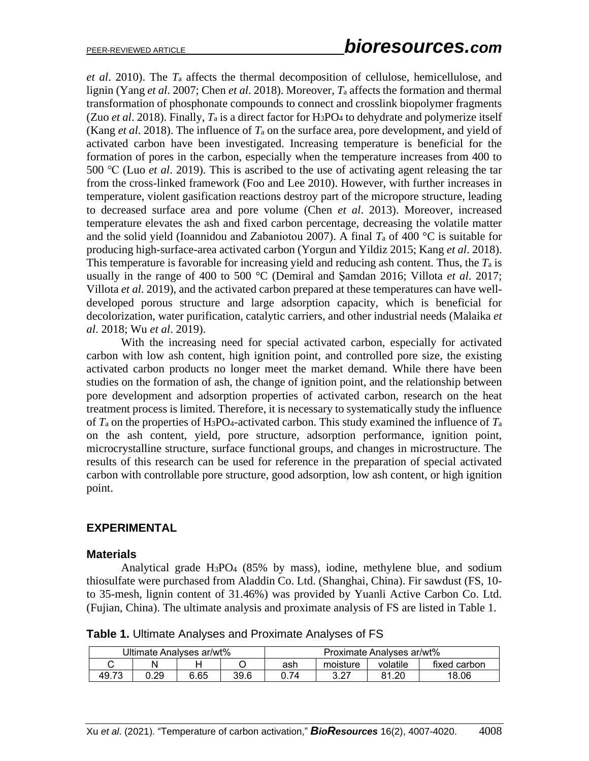*et al*. 2010). The *T*<sup>a</sup> affects the thermal decomposition of cellulose, hemicellulose, and lignin (Yang *et al*. 2007; Chen *et al*. 2018). Moreover, *T*<sup>a</sup> affects the formation and thermal transformation of phosphonate compounds to connect and crosslink biopolymer fragments (Zuo *et al*. 2018). Finally, *T*<sup>a</sup> is a direct factor for H3PO<sup>4</sup> to dehydrate and polymerize itself (Kang *et al*. 2018). The influence of *T*<sup>a</sup> on the surface area, pore development, and yield of activated carbon have been investigated. Increasing temperature is beneficial for the formation of pores in the carbon, especially when the temperature increases from 400 to 500 ℃ (Luo *et al*. 2019). This is ascribed to the use of activating agent releasing the tar from the cross-linked framework (Foo and Lee 2010). However, with further increases in temperature, violent gasification reactions destroy part of the micropore structure, leading to decreased surface area and pore volume (Chen *et al*. 2013). Moreover, increased temperature elevates the ash and fixed carbon percentage, decreasing the volatile matter and the solid yield (Ioannidou and Zabaniotou 2007). A final  $T_a$  of 400 °C is suitable for producing high-surface-area activated carbon (Yorgun and Yildiz 2015; Kang *et al*. 2018). This temperature is favorable for increasing yield and reducing ash content. Thus, the *T*<sup>a</sup> is usually in the range of 400 to 500 °C (Demiral and Şamdan 2016; Villota *et al*. 2017; Villota *et al*. 2019), and the activated carbon prepared at these temperatures can have welldeveloped porous structure and large adsorption capacity, which is beneficial for decolorization, water purification, catalytic carriers, and other industrial needs (Malaika *et al*. 2018; Wu *et al*. 2019).

With the increasing need for special activated carbon, especially for activated carbon with low ash content, high ignition point, and controlled pore size, the existing activated carbon products no longer meet the market demand. While there have been studies on the formation of ash, the change of ignition point, and the relationship between pore development and adsorption properties of activated carbon, research on the heat treatment process is limited. Therefore, it is necessary to systematically study the influence of *T*<sup>a</sup> on the properties of H3PO4-activated carbon. This study examined the influence of *T*<sup>a</sup> on the ash content, yield, pore structure, adsorption performance, ignition point, microcrystalline structure, surface functional groups, and changes in microstructure. The results of this research can be used for reference in the preparation of special activated carbon with controllable pore structure, good adsorption, low ash content, or high ignition point.

## **EXPERIMENTAL**

## **Materials**

Analytical grade H3PO<sup>4</sup> (85% by mass), iodine, methylene blue, and sodium thiosulfate were purchased from Aladdin Co. Ltd. (Shanghai, China). Fir sawdust (FS, 10 to 35-mesh, lignin content of 31.46%) was provided by Yuanli Active Carbon Co. Ltd. (Fujian, China). The ultimate analysis and proximate analysis of FS are listed in Table 1.

**Table 1.** Ultimate Analyses and Proximate Analyses of FS

| Ultimate Analyses ar/wt% |      |      |      | Proximate Analyses ar/wt% |            |           |              |  |
|--------------------------|------|------|------|---------------------------|------------|-----------|--------------|--|
|                          |      |      |      | ash                       | moisture   | volatile  | fixed carbon |  |
| 49.73                    | 0.29 | 6.65 | 39.6 |                           | ר מ<br>ے.ت | റ്റ<br>Ω1 | 18.06        |  |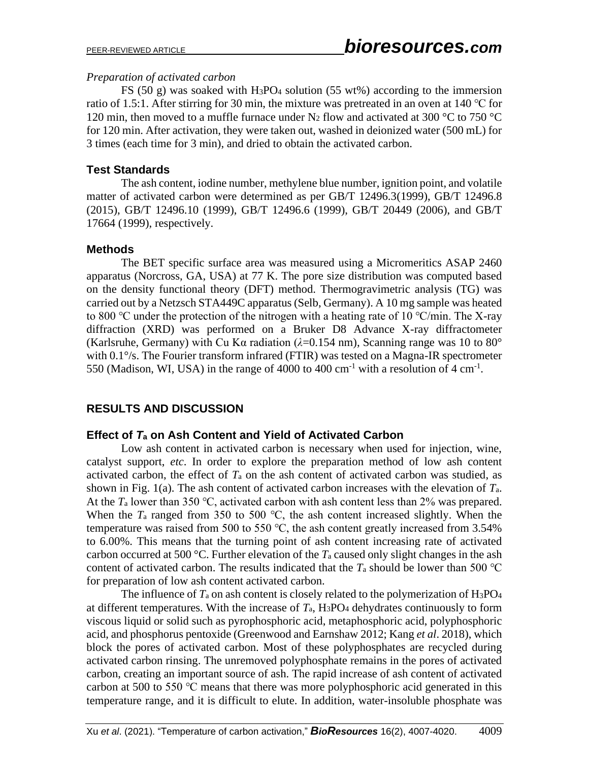#### *Preparation of activated carbon*

FS (50 g) was soaked with H<sub>3</sub>PO<sub>4</sub> solution (55 wt%) according to the immersion ratio of 1.5:1. After stirring for 30 min, the mixture was pretreated in an oven at 140 °C for 120 min, then moved to a muffle furnace under N<sub>2</sub> flow and activated at 300 °C to 750 °C for 120 min. After activation, they were taken out, washed in deionized water (500 mL) for 3 times (each time for 3 min), and dried to obtain the activated carbon.

## **Test Standards**

The ash content, iodine number, methylene blue number, ignition point, and volatile matter of activated carbon were determined as per GB/T 12496.3(1999), GB/T 12496.8 (2015), GB/T 12496.10 (1999), GB/T 12496.6 (1999), GB/T 20449 (2006), and GB/T 17664 (1999), respectively.

## **Methods**

The BET specific surface area was measured using a Micromeritics ASAP 2460 apparatus (Norcross, GA, USA) at 77 K. The pore size distribution was computed based on the density functional theory (DFT) method. Thermogravimetric analysis (TG) was carried out by a Netzsch STA449C apparatus (Selb, Germany). A 10 mg sample was heated to 800 °C under the protection of the nitrogen with a heating rate of 10 °C/min. The X-ray diffraction (XRD) was performed on a Bruker D8 Advance X-ray diffractometer (Karlsruhe, Germany) with Cu K $\alpha$  radiation ( $\lambda$ =0.154 nm), Scanning range was 10 to 80<sup>°</sup> with 0.1<sup>o</sup>/s. The Fourier transform infrared (FTIR) was tested on a Magna-IR spectrometer 550 (Madison, WI, USA) in the range of 4000 to 400 cm<sup>-1</sup> with a resolution of 4 cm<sup>-1</sup>.

# **RESULTS AND DISCUSSION**

## **Effect of** *T***<sup>a</sup> on Ash Content and Yield of Activated Carbon**

Low ash content in activated carbon is necessary when used for injection, wine, catalyst support, *etc*. In order to explore the preparation method of low ash content activated carbon, the effect of *T*<sup>a</sup> on the ash content of activated carbon was studied, as shown in Fig. 1(a). The ash content of activated carbon increases with the elevation of *T*a. At the  $T_a$  lower than 350 °C, activated carbon with ash content less than 2% was prepared. When the  $T_a$  ranged from 350 to 500 °C, the ash content increased slightly. When the temperature was raised from 500 to 550 ℃, the ash content greatly increased from 3.54% to 6.00%. This means that the turning point of ash content increasing rate of activated carbon occurred at 500 °C. Further elevation of the  $T_a$  caused only slight changes in the ash content of activated carbon. The results indicated that the  $T_a$  should be lower than 500 °C for preparation of low ash content activated carbon.

The influence of  $T_a$  on ash content is closely related to the polymerization of  $H_3PO_4$ at different temperatures. With the increase of  $T_a$ , H<sub>3</sub>PO<sub>4</sub> dehydrates continuously to form viscous liquid or solid such as pyrophosphoric acid, metaphosphoric acid, polyphosphoric acid, and phosphorus pentoxide (Greenwood and Earnshaw 2012; Kang *et al*. 2018), which block the pores of activated carbon. Most of these polyphosphates are recycled during activated carbon rinsing. The unremoved polyphosphate remains in the pores of activated carbon, creating an important source of ash. The rapid increase of ash content of activated carbon at 500 to 550 ℃ means that there was more polyphosphoric acid generated in this temperature range, and it is difficult to elute. In addition, water-insoluble phosphate was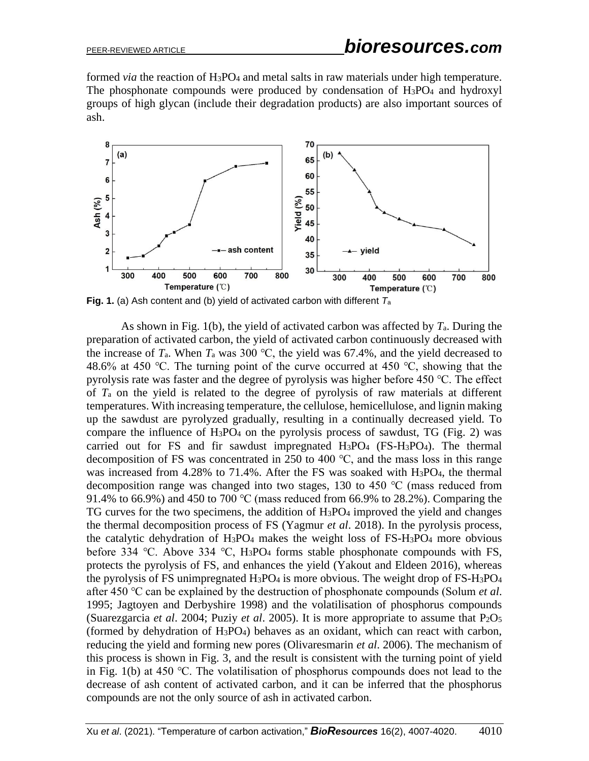formed *via* the reaction of H3PO<sup>4</sup> and metal salts in raw materials under high temperature. The phosphonate compounds were produced by condensation of H3PO<sup>4</sup> and hydroxyl groups of high glycan (include their degradation products) are also important sources of ash.



**Fig. 1.** (a) Ash content and (b) yield of activated carbon with different *T*<sup>a</sup>

As shown in Fig. 1(b), the yield of activated carbon was affected by *T*a. During the preparation of activated carbon, the yield of activated carbon continuously decreased with the increase of  $T_a$ . When  $T_a$  was 300 °C, the yield was 67.4%, and the yield decreased to 48.6% at 450 °C. The turning point of the curve occurred at 450 °C, showing that the pyrolysis rate was faster and the degree of pyrolysis was higher before 450 ℃. The effect of *T*<sup>a</sup> on the yield is related to the degree of pyrolysis of raw materials at different temperatures. With increasing temperature, the cellulose, hemicellulose, and lignin making up the sawdust are pyrolyzed gradually, resulting in a continually decreased yield. To compare the influence of  $H_3PO_4$  on the pyrolysis process of sawdust, TG (Fig. 2) was carried out for FS and fir sawdust impregnated H3PO<sup>4</sup> (FS-H3PO4). The thermal decomposition of FS was concentrated in 250 to 400 ℃, and the mass loss in this range was increased from 4.28% to 71.4%. After the FS was soaked with H<sub>3</sub>PO<sub>4</sub>, the thermal decomposition range was changed into two stages, 130 to 450 ℃ (mass reduced from 91.4% to 66.9%) and 450 to 700 °C (mass reduced from 66.9% to 28.2%). Comparing the TG curves for the two specimens, the addition of  $H_3PO_4$  improved the yield and changes the thermal decomposition process of FS (Yagmur *et al*. 2018). In the pyrolysis process, the catalytic dehydration of H3PO<sup>4</sup> makes the weight loss of FS-H3PO<sup>4</sup> more obvious before 334 ℃. Above 334 ℃, H3PO<sup>4</sup> forms stable phosphonate compounds with FS, protects the pyrolysis of FS, and enhances the yield (Yakout and Eldeen 2016), whereas the pyrolysis of FS unimpregnated  $H_3PO_4$  is more obvious. The weight drop of FS- $H_3PO_4$ after 450 ℃ can be explained by the destruction of phosphonate compounds (Solum *et al*. 1995; Jagtoyen and Derbyshire 1998) and the volatilisation of phosphorus compounds (Suarezgarcia *et al*. 2004; Puziy *et al*. 2005). It is more appropriate to assume that P2O<sup>5</sup> (formed by dehydration of H3PO4) behaves as an oxidant, which can react with carbon, reducing the yield and forming new pores (Olivaresmarin *et al*. 2006). The mechanism of this process is shown in Fig. 3, and the result is consistent with the turning point of yield in Fig. 1(b) at 450 ℃. The volatilisation of phosphorus compounds does not lead to the decrease of ash content of activated carbon, and it can be inferred that the phosphorus compounds are not the only source of ash in activated carbon.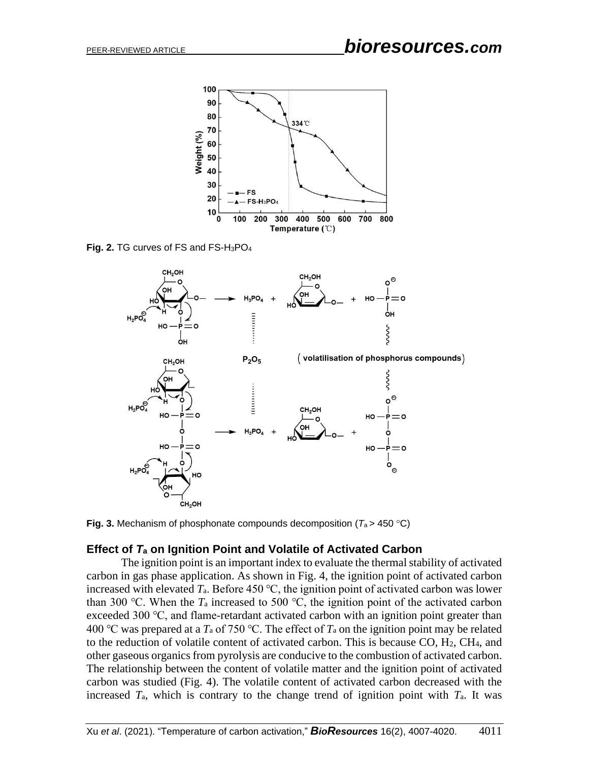

**Fig. 2.** TG curves of FS and FS-H3PO<sup>4</sup>



**Fig. 3.** Mechanism of phosphonate compounds decomposition ( $T_a$  > 450 °C)

## **Effect of** *T***<sup>a</sup> on Ignition Point and Volatile of Activated Carbon**

The ignition point is an important index to evaluate the thermal stability of activated carbon in gas phase application. As shown in Fig. 4, the ignition point of activated carbon increased with elevated  $T_a$ . Before 450 °C, the ignition point of activated carbon was lower than 300 °C. When the  $T_a$  increased to 500 °C, the ignition point of the activated carbon exceeded 300 ℃, and flame-retardant activated carbon with an ignition point greater than 400 ℃ was prepared at a *T*<sup>a</sup> of 750 ℃. The effect of *T*<sup>a</sup> on the ignition point may be related to the reduction of volatile content of activated carbon. This is because CO, H2, CH4, and other gaseous organics from pyrolysis are conducive to the combustion of activated carbon. The relationship between the content of volatile matter and the ignition point of activated carbon was studied (Fig. 4). The volatile content of activated carbon decreased with the increased *T*a, which is contrary to the change trend of ignition point with *T*a. It was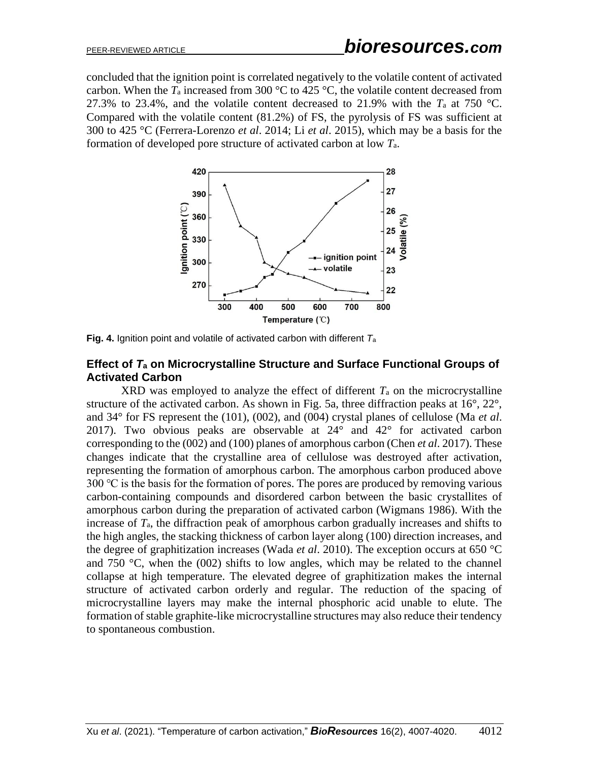concluded that the ignition point is correlated negatively to the volatile content of activated carbon. When the  $T_a$  increased from 300 °C to 425 °C, the volatile content decreased from 27.3% to 23.4%, and the volatile content decreased to 21.9% with the  $T_a$  at 750 °C. Compared with the volatile content (81.2%) of FS, the pyrolysis of FS was sufficient at 300 to 425 °C (Ferrera-Lorenzo *et al*. 2014; Li *et al*. 2015), which may be a basis for the formation of developed pore structure of activated carbon at low *T*a.



**Fig. 4.** Ignition point and volatile of activated carbon with different *T*<sup>a</sup>

## **Effect of** *T***<sup>a</sup> on Microcrystalline Structure and Surface Functional Groups of Activated Carbon**

XRD was employed to analyze the effect of different  $T_a$  on the microcrystalline structure of the activated carbon. As shown in Fig. 5a, three diffraction peaks at 16°, 22°, and 34° for FS represent the (101), (002), and (004) crystal planes of cellulose (Ma *et al*. 2017). Two obvious peaks are observable at 24° and 42° for activated carbon corresponding to the (002) and (100) planes of amorphous carbon (Chen *et al*. 2017). These changes indicate that the crystalline area of cellulose was destroyed after activation, representing the formation of amorphous carbon. The amorphous carbon produced above 300 ℃ is the basis for the formation of pores. The pores are produced by removing various carbon-containing compounds and disordered carbon between the basic crystallites of amorphous carbon during the preparation of activated carbon (Wigmans 1986). With the increase of *T*a, the diffraction peak of amorphous carbon gradually increases and shifts to the high angles, the stacking thickness of carbon layer along (100) direction increases, and the degree of graphitization increases (Wada *et al*. 2010). The exception occurs at 650 °C and 750 °C, when the (002) shifts to low angles, which may be related to the channel collapse at high temperature. The elevated degree of graphitization makes the internal structure of activated carbon orderly and regular. The reduction of the spacing of microcrystalline layers may make the internal phosphoric acid unable to elute. The formation of stable graphite-like microcrystalline structures may also reduce their tendency to spontaneous combustion.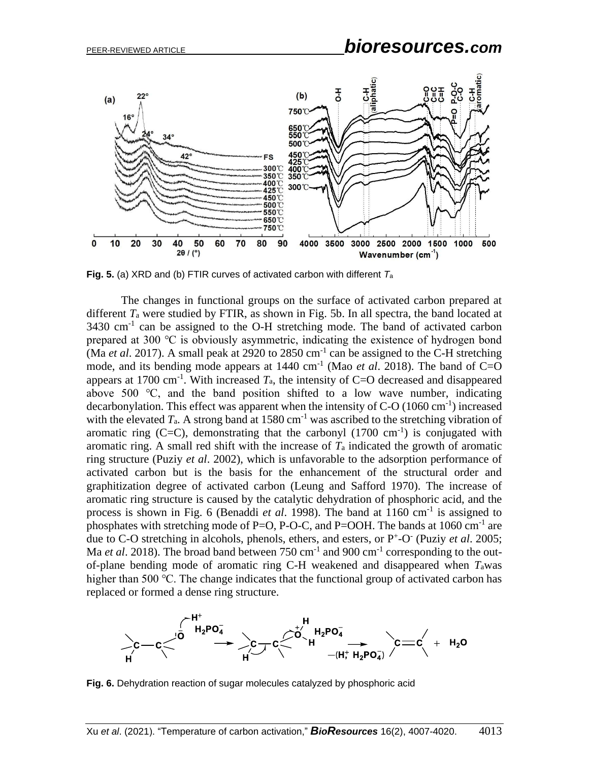

**Fig. 5.** (a) XRD and (b) FTIR curves of activated carbon with different *T*<sup>a</sup>

The changes in functional groups on the surface of activated carbon prepared at different *T*<sup>a</sup> were studied by FTIR, as shown in Fig. 5b. In all spectra, the band located at 3430 cm<sup>-1</sup> can be assigned to the O-H stretching mode. The band of activated carbon prepared at 300 ℃ is obviously asymmetric, indicating the existence of hydrogen bond (Ma *et al.* 2017). A small peak at 2920 to 2850 cm<sup>-1</sup> can be assigned to the C-H stretching mode, and its bending mode appears at 1440 cm<sup>-1</sup> (Mao *et al.* 2018). The band of C=O appears at 1700 cm<sup>-1</sup>. With increased  $T_a$ , the intensity of C=O decreased and disappeared above 500 ℃, and the band position shifted to a low wave number, indicating decarbonylation. This effect was apparent when the intensity of  $C-O(1060 \text{ cm}^{-1})$  increased with the elevated  $T_a$ . A strong band at 1580 cm<sup>-1</sup> was ascribed to the stretching vibration of aromatic ring  $(C=C)$ , demonstrating that the carbonyl  $(1700 \text{ cm}^{-1})$  is conjugated with aromatic ring. A small red shift with the increase of *T*<sup>a</sup> indicated the growth of aromatic ring structure (Puziy *et al*. 2002), which is unfavorable to the adsorption performance of activated carbon but is the basis for the enhancement of the structural order and graphitization degree of activated carbon (Leung and Safford 1970). The increase of aromatic ring structure is caused by the catalytic dehydration of phosphoric acid, and the process is shown in Fig. 6 (Benaddi *et al.* 1998). The band at 1160 cm<sup>-1</sup> is assigned to phosphates with stretching mode of P=O, P-O-C, and P=OOH. The bands at  $1060 \text{ cm}^{-1}$  are due to C-O stretching in alcohols, phenols, ethers, and esters, or P<sup>+</sup>-O<sup>-</sup> (Puziy *et al.* 2005; Ma *et al.* 2018). The broad band between 750 cm<sup>-1</sup> and 900 cm<sup>-1</sup> corresponding to the outof-plane bending mode of aromatic ring C-H weakened and disappeared when *T*awas higher than 500 °C. The change indicates that the functional group of activated carbon has replaced or formed a dense ring structure.



**Fig. 6.** Dehydration reaction of sugar molecules catalyzed by phosphoric acid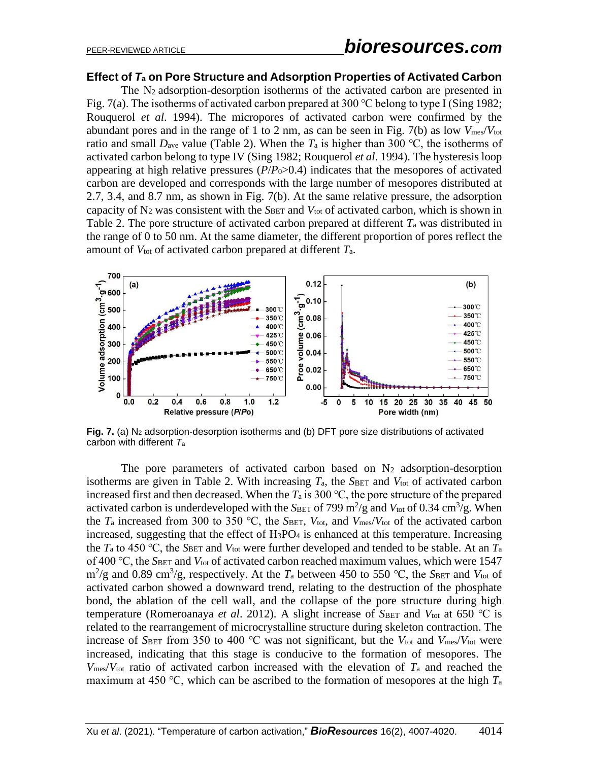#### **Effect of** *T***<sup>a</sup> on Pore Structure and Adsorption Properties of Activated Carbon**

The N2 adsorption-desorption isotherms of the activated carbon are presented in Fig. 7(a). The isotherms of activated carbon prepared at 300 °C belong to type I (Sing 1982; Rouquerol *et al*. 1994). The micropores of activated carbon were confirmed by the abundant pores and in the range of 1 to 2 nm, as can be seen in Fig. 7(b) as low *V*mes/*V*tot ratio and small  $D_{ave}$  value (Table 2). When the  $T_a$  is higher than 300 °C, the isotherms of activated carbon belong to type IV (Sing 1982; Rouquerol *et al*. 1994). The hysteresis loop appearing at high relative pressures  $(P/P_0 > 0.4)$  indicates that the mesopores of activated carbon are developed and corresponds with the large number of mesopores distributed at 2.7, 3.4, and 8.7 nm, as shown in Fig. 7(b). At the same relative pressure, the adsorption capacity of N<sub>2</sub> was consistent with the *S*BET and *V*<sub>tot</sub> of activated carbon, which is shown in Table 2. The pore structure of activated carbon prepared at different *T*<sup>a</sup> was distributed in the range of 0 to 50 nm. At the same diameter, the different proportion of pores reflect the amount of *V*tot of activated carbon prepared at different *T*a.



**Fig. 7.** (a) N<sup>2</sup> adsorption-desorption isotherms and (b) DFT pore size distributions of activated carbon with different *T*<sup>a</sup>

The pore parameters of activated carbon based on  $N_2$  adsorption-desorption isotherms are given in Table 2. With increasing  $T_a$ , the *S*BET and  $V_{tot}$  of activated carbon increased first and then decreased. When the  $T_a$  is 300 °C, the pore structure of the prepared activated carbon is underdeveloped with the  $S_{\text{BET}}$  of 799 m<sup>2</sup>/g and  $V_{\text{tot}}$  of 0.34 cm<sup>3</sup>/g. When the  $T_a$  increased from 300 to 350 °C, the *SBET*,  $V_{\text{tot}}$ , and  $V_{\text{mes}}/V_{\text{tot}}$  of the activated carbon increased, suggesting that the effect of  $H_3PO_4$  is enhanced at this temperature. Increasing the  $T_a$  to 450 °C, the *S*BET and  $V_{\text{tot}}$  were further developed and tended to be stable. At an  $T_a$ of 400 ℃, the *S*BET and *V*tot of activated carbon reached maximum values, which were 1547  $\text{m}^2\text{/g}$  and 0.89 cm<sup>3</sup>/g, respectively. At the *T*<sub>a</sub> between 450 to 550 °C, the *S*BET and *V*<sub>tot</sub> of activated carbon showed a downward trend, relating to the destruction of the phosphate bond, the ablation of the cell wall, and the collapse of the pore structure during high temperature (Romeroanaya *et al.* 2012). A slight increase of *S*BET and *V*<sup>tot</sup> at 650 ℃ is related to the rearrangement of microcrystalline structure during skeleton contraction. The increase of *S*BET from 350 to 400 ℃ was not significant, but the *V*tot and *V*mes/*V*tot were increased, indicating that this stage is conducive to the formation of mesopores. The *V*mes/*V*tot ratio of activated carbon increased with the elevation of *T*<sup>a</sup> and reached the maximum at 450 ℃, which can be ascribed to the formation of mesopores at the high *T*<sup>a</sup>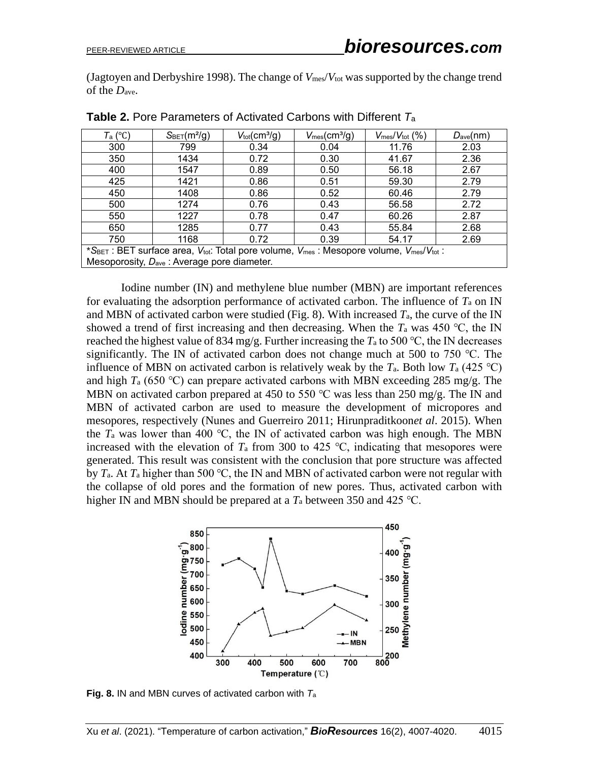(Jagtoyen and Derbyshire 1998). The change of *V*mes/*V*tot was supported by the change trend of the *D*ave.

| $T_a$ (°C)                                                                             | $S_{\text{BET}}(m^2/g)$ | $V_{\text{tot}}$ (cm <sup>3</sup> /g) | $V_{\text{mes}}(cm^3/q)$ | $V_{\text{mes}}/V_{\text{tot}}$ (%) | $D_{ave}(nm)$ |  |  |  |  |
|----------------------------------------------------------------------------------------|-------------------------|---------------------------------------|--------------------------|-------------------------------------|---------------|--|--|--|--|
| 300                                                                                    | 799                     | 0.34                                  | 0.04                     | 11.76                               | 2.03          |  |  |  |  |
| 350                                                                                    | 1434                    | 0.72                                  | 0.30                     | 41.67                               | 2.36          |  |  |  |  |
| 400                                                                                    | 1547                    | 0.89                                  | 0.50                     | 56.18                               | 2.67          |  |  |  |  |
| 425                                                                                    | 1421                    | 0.86                                  | 0.51                     | 59.30                               | 2.79          |  |  |  |  |
| 450                                                                                    | 1408                    | 0.86                                  | 0.52                     | 60.46                               | 2.79          |  |  |  |  |
| 500                                                                                    | 1274                    | 0.76                                  | 0.43                     | 56.58                               | 2.72          |  |  |  |  |
| 550                                                                                    | 1227                    | 0.78                                  | 0.47                     | 60.26                               | 2.87          |  |  |  |  |
| 650                                                                                    | 1285                    | 0.77                                  | 0.43                     | 55.84                               | 2.68          |  |  |  |  |
| 750                                                                                    | 1168                    | 0.72                                  | 0.39                     | 54.17                               | 2.69          |  |  |  |  |
| *SBET : BET surface area, Vtot: Total pore volume, Vmes : Mesopore volume, Vmes/Vtot : |                         |                                       |                          |                                     |               |  |  |  |  |
| Mesoporosity, D <sub>ave</sub> : Average pore diameter.                                |                         |                                       |                          |                                     |               |  |  |  |  |

**Table 2.** Pore Parameters of Activated Carbons with Different *T*<sup>a</sup>

Iodine number (IN) and methylene blue number (MBN) are important references for evaluating the adsorption performance of activated carbon. The influence of *T*<sup>a</sup> on IN and MBN of activated carbon were studied (Fig. 8). With increased  $T_a$ , the curve of the IN showed a trend of first increasing and then decreasing. When the  $T_a$  was 450 °C, the IN reached the highest value of 834 mg/g. Further increasing the  $T_a$  to 500 °C, the IN decreases significantly. The IN of activated carbon does not change much at 500 to 750 ℃. The influence of MBN on activated carbon is relatively weak by the  $T_a$ . Both low  $T_a$  (425 °C) and high *T*<sup>a</sup> (650 ℃) can prepare activated carbons with MBN exceeding 285 mg/g. The MBN on activated carbon prepared at 450 to 550 °C was less than 250 mg/g. The IN and MBN of activated carbon are used to measure the development of micropores and mesopores, respectively (Nunes and Guerreiro 2011; Hirunpraditkoon*et al*. 2015). When the  $T_a$  was lower than 400 °C, the IN of activated carbon was high enough. The MBN increased with the elevation of  $T_a$  from 300 to 425 °C, indicating that mesopores were generated. This result was consistent with the conclusion that pore structure was affected by *T*a. At *T*<sup>a</sup> higher than 500 ℃, the IN and MBN of activated carbon were not regular with the collapse of old pores and the formation of new pores. Thus, activated carbon with higher IN and MBN should be prepared at a *T*<sup>a</sup> between 350 and 425 ℃.



**Fig. 8.** IN and MBN curves of activated carbon with *T*<sup>a</sup>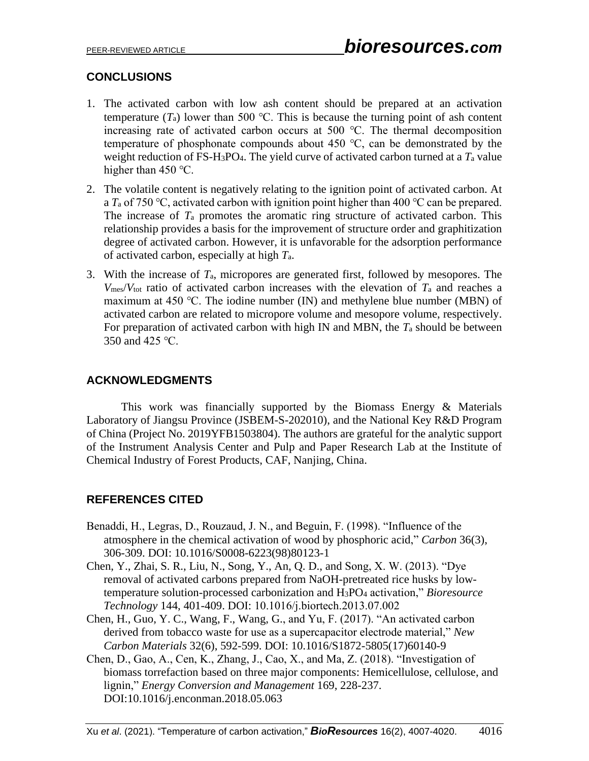## **CONCLUSIONS**

- 1. The activated carbon with low ash content should be prepared at an activation temperature  $(T_a)$  lower than 500 °C. This is because the turning point of ash content increasing rate of activated carbon occurs at 500 ℃. The thermal decomposition temperature of phosphonate compounds about 450 ℃, can be demonstrated by the weight reduction of FS-H3PO4. The yield curve of activated carbon turned at a *T*<sup>a</sup> value higher than 450 °C.
- 2. The volatile content is negatively relating to the ignition point of activated carbon. At a *T*<sup>a</sup> of 750 ℃, activated carbon with ignition point higher than 400 ℃ can be prepared. The increase of  $T_a$  promotes the aromatic ring structure of activated carbon. This relationship provides a basis for the improvement of structure order and graphitization degree of activated carbon. However, it is unfavorable for the adsorption performance of activated carbon, especially at high *T*a.
- 3. With the increase of *T*a, micropores are generated first, followed by mesopores. The  $V_{\text{mes}}/V_{\text{tot}}$  ratio of activated carbon increases with the elevation of  $T_a$  and reaches a maximum at 450 ℃. The iodine number (IN) and methylene blue number (MBN) of activated carbon are related to micropore volume and mesopore volume, respectively. For preparation of activated carbon with high IN and MBN, the *T*<sup>a</sup> should be between 350 and 425 ℃.

# **ACKNOWLEDGMENTS**

This work was financially supported by the Biomass Energy  $\&$  Materials Laboratory of Jiangsu Province (JSBEM-S-202010), and the National Key R&D Program of China (Project No. 2019YFB1503804). The authors are grateful for the analytic support of the Instrument Analysis Center and Pulp and Paper Research Lab at the Institute of Chemical Industry of Forest Products, CAF, Nanjing, China.

## **REFERENCES CITED**

- Benaddi, H., Legras, D., Rouzaud, J. N., and Beguin, F. (1998). "Influence of the atmosphere in the chemical activation of wood by phosphoric acid," *Carbon* 36(3), 306-309. DOI: 10.1016/S0008-6223(98)80123-1
- Chen, Y., Zhai, S. R., Liu, N., Song, Y., An, Q. D., and Song, X. W. (2013). "Dye removal of activated carbons prepared from NaOH-pretreated rice husks by lowtemperature solution-processed carbonization and H3PO<sup>4</sup> activation," *Bioresource Technology* 144, 401-409. DOI: 10.1016/j.biortech.2013.07.002
- Chen, H., Guo, Y. C., Wang, F., Wang, G., and Yu, F. (2017). "An activated carbon derived from tobacco waste for use as a supercapacitor electrode material," *New Carbon Materials* 32(6), 592-599. DOI: 10.1016/S1872-5805(17)60140-9
- Chen, D., Gao, A., Cen, K., Zhang, J., Cao, X., and Ma, Z. (2018). "Investigation of biomass torrefaction based on three major components: Hemicellulose, cellulose, and lignin," *Energy Conversion and Management* 169, 228-237. DOI:10.1016/j.enconman.2018.05.063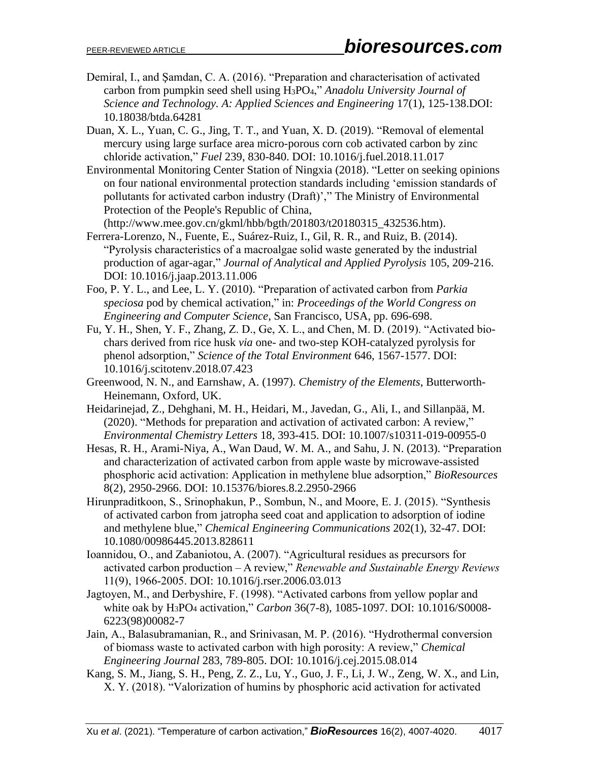- Demiral, I., and Şamdan, C. A. (2016). "Preparation and characterisation of activated carbon from pumpkin seed shell using H3PO4," *Anadolu University Journal of Science and Technology. A: Applied Sciences and Engineering* 17(1), 125-138.DOI: 10.18038/btda.64281
- Duan, X. L., Yuan, C. G., Jing, T. T., and Yuan, X. D. (2019). "Removal of elemental mercury using large surface area micro-porous corn cob activated carbon by zinc chloride activation," *Fuel* 239, 830-840. DOI: 10.1016/j.fuel.2018.11.017
- Environmental Monitoring Center Station of Ningxia (2018). "Letter on seeking opinions on four national environmental protection standards including 'emission standards of pollutants for activated carbon industry (Draft)'," The Ministry of Environmental Protection of the People's Republic of China,

(http://www.mee.gov.cn/gkml/hbb/bgth/201803/t20180315\_432536.htm).

- Ferrera-Lorenzo, N., Fuente, E., Suárez-Ruiz, I., Gil, R. R., and Ruiz, B. (2014). "Pyrolysis characteristics of a macroalgae solid waste generated by the industrial production of agar-agar," *Journal of Analytical and Applied Pyrolysis* 105, 209-216. DOI: 10.1016/j.jaap.2013.11.006
- Foo, P. Y. L., and Lee, L. Y. (2010). "Preparation of activated carbon from *Parkia speciosa* pod by chemical activation," in: *Proceedings of the World Congress on Engineering and Computer Science*, San Francisco, USA, pp. 696-698.
- Fu, Y. H., Shen, Y. F., Zhang, Z. D., Ge, X. L., and Chen, M. D. (2019). "Activated biochars derived from rice husk *via* one- and two-step KOH-catalyzed pyrolysis for phenol adsorption," *Science of the Total Environment* 646, 1567-1577. DOI: 10.1016/j.scitotenv.2018.07.423
- Greenwood, N. N., and Earnshaw, A. (1997). *Chemistry of the Elements*, Butterworth-Heinemann, Oxford, UK.
- Heidarinejad, Z., Dehghani, M. H., Heidari, M., Javedan, G., Ali, I., and Sillanpää, M. (2020). "Methods for preparation and activation of activated carbon: A review," *Environmental Chemistry Letters* 18, 393-415. DOI: 10.1007/s10311-019-00955-0
- Hesas, R. H., Arami-Niya, A., Wan Daud, W. M. A., and Sahu, J. N. (2013). "Preparation and characterization of activated carbon from apple waste by microwave-assisted phosphoric acid activation: Application in methylene blue adsorption," *BioResources* 8(2), 2950-2966. DOI: 10.15376/biores.8.2.2950-2966
- Hirunpraditkoon, S., Srinophakun, P., Sombun, N., and Moore, E. J. (2015). "Synthesis of activated carbon from jatropha seed coat and application to adsorption of iodine and methylene blue," *Chemical Engineering Communications* 202(1), 32-47. DOI: 10.1080/00986445.2013.828611
- Ioannidou, O., and Zabaniotou, A. (2007). "Agricultural residues as precursors for activated carbon production – A review," *Renewable and Sustainable Energy Reviews* 11(9), 1966-2005. DOI: 10.1016/j.rser.2006.03.013
- Jagtoyen, M., and Derbyshire, F. (1998). "Activated carbons from yellow poplar and white oak by H3PO<sup>4</sup> activation," *Carbon* 36(7-8), 1085-1097. DOI: 10.1016/S0008- 6223(98)00082-7
- Jain, A., Balasubramanian, R., and Srinivasan, M. P. (2016). "Hydrothermal conversion of biomass waste to activated carbon with high porosity: A review," *Chemical Engineering Journal* 283, 789-805. DOI: 10.1016/j.cej.2015.08.014
- Kang, S. M., Jiang, S. H., Peng, Z. Z., Lu, Y., Guo, J. F., Li, J. W., Zeng, W. X., and Lin, X. Y. (2018). "Valorization of humins by phosphoric acid activation for activated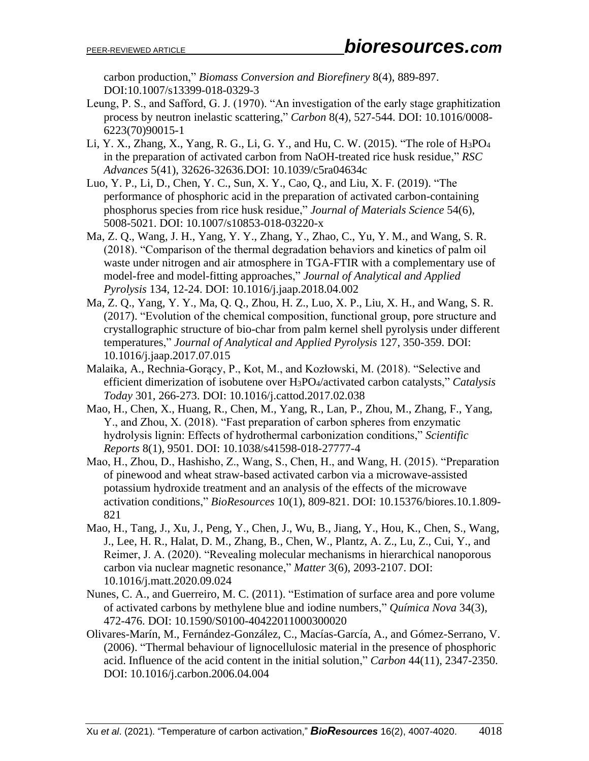carbon production," *Biomass Conversion and Biorefinery* 8(4), 889-897. DOI:10.1007/s13399-018-0329-3

- Leung, P. S., and Safford, G. J. (1970). "An investigation of the early stage graphitization process by neutron inelastic scattering," *Carbon* 8(4), 527-544. DOI: 10.1016/0008- 6223(70)90015-1
- Li, Y. X., Zhang, X., Yang, R. G., Li, G. Y., and Hu, C. W. (2015). "The role of H3PO<sup>4</sup> in the preparation of activated carbon from NaOH-treated rice husk residue," *RSC Advances* 5(41), 32626-32636.DOI: 10.1039/c5ra04634c
- Luo, Y. P., Li, D., Chen, Y. C., Sun, X. Y., Cao, Q., and Liu, X. F. (2019). "The performance of phosphoric acid in the preparation of activated carbon-containing phosphorus species from rice husk residue," *Journal of Materials Science* 54(6), 5008-5021. DOI: 10.1007/s10853-018-03220-x
- Ma, Z. Q., Wang, J. H., Yang, Y. Y., Zhang, Y., Zhao, C., Yu, Y. M., and Wang, S. R. (2018). "Comparison of the thermal degradation behaviors and kinetics of palm oil waste under nitrogen and air atmosphere in TGA-FTIR with a complementary use of model-free and model-fitting approaches," *Journal of Analytical and Applied Pyrolysis* 134, 12-24. DOI: 10.1016/j.jaap.2018.04.002
- Ma, Z. Q., Yang, Y. Y., Ma, Q. Q., Zhou, H. Z., Luo, X. P., Liu, X. H., and Wang, S. R. (2017). "Evolution of the chemical composition, functional group, pore structure and crystallographic structure of bio-char from palm kernel shell pyrolysis under different temperatures," *Journal of Analytical and Applied Pyrolysis* 127, 350-359. DOI: 10.1016/j.jaap.2017.07.015
- Malaika, A., Rechnia-Gorący, P., Kot, M., and Kozłowski, M. (2018). "Selective and efficient dimerization of isobutene over H3PO4/activated carbon catalysts," *Catalysis Today* 301, 266-273. DOI: 10.1016/j.cattod.2017.02.038
- Mao, H., Chen, X., Huang, R., Chen, M., Yang, R., Lan, P., Zhou, M., Zhang, F., Yang, Y., and Zhou, X. (2018). "Fast preparation of carbon spheres from enzymatic hydrolysis lignin: Effects of hydrothermal carbonization conditions," *Scientific Reports* 8(1), 9501. DOI: 10.1038/s41598-018-27777-4
- Mao, H., Zhou, D., Hashisho, Z., Wang, S., Chen, H., and Wang, H. (2015). "Preparation of pinewood and wheat straw-based activated carbon via a microwave-assisted potassium hydroxide treatment and an analysis of the effects of the microwave activation conditions," *BioResources* 10(1), 809-821. DOI: 10.15376/biores.10.1.809- 821
- Mao, H., Tang, J., Xu, J., Peng, Y., Chen, J., Wu, B., Jiang, Y., Hou, K., Chen, S., Wang, J., Lee, H. R., Halat, D. M., Zhang, B., Chen, W., Plantz, A. Z., Lu, Z., Cui, Y., and Reimer, J. A. (2020). "Revealing molecular mechanisms in hierarchical nanoporous carbon via nuclear magnetic resonance," *Matter* 3(6), 2093-2107. DOI: 10.1016/j.matt.2020.09.024
- Nunes, C. A., and Guerreiro, M. C. (2011). "Estimation of surface area and pore volume of activated carbons by methylene blue and iodine numbers," *Química Nova* 34(3), 472-476. DOI: 10.1590/S0100-40422011000300020
- Olivares-Marín, M., Fernández-González, C., Macías-García, A., and Gómez-Serrano, V. (2006). "Thermal behaviour of lignocellulosic material in the presence of phosphoric acid. Influence of the acid content in the initial solution," *Carbon* 44(11), 2347-2350. DOI: 10.1016/j.carbon.2006.04.004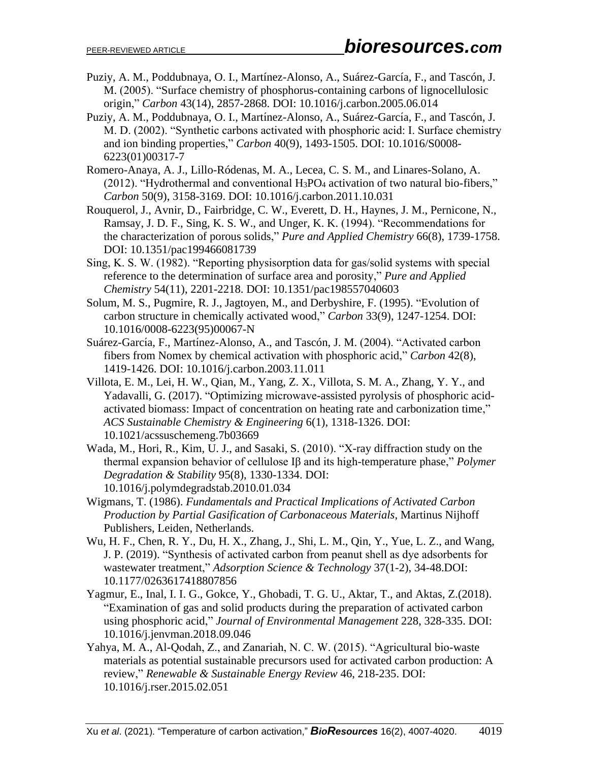- Puziy, A. M., Poddubnaya, O. I., Martínez-Alonso, A., Suárez-García, F., and Tascón, J. M. (2005). "Surface chemistry of phosphorus-containing carbons of lignocellulosic origin," *Carbon* 43(14), 2857-2868. DOI: 10.1016/j.carbon.2005.06.014
- Puziy, A. M., Poddubnaya, O. I., Martínez-Alonso, A., Suárez-García, F., and Tascón, J. M. D. (2002). "Synthetic carbons activated with phosphoric acid: I. Surface chemistry and ion binding properties," *Carbon* 40(9), 1493-1505. DOI: 10.1016/S0008- 6223(01)00317-7
- Romero-Anaya, A. J., Lillo-Ródenas, M. A., Lecea, C. S. M., and Linares-Solano, A. (2012). "Hydrothermal and conventional  $H_3PO_4$  activation of two natural bio-fibers," *Carbon* 50(9), 3158-3169. DOI: 10.1016/j.carbon.2011.10.031
- Rouquerol, J., Avnir, D., Fairbridge, C. W., Everett, D. H., Haynes, J. M., Pernicone, N., Ramsay, J. D. F., Sing, K. S. W., and Unger, K. K. (1994). "Recommendations for the characterization of porous solids," *Pure and Applied Chemistry* 66(8), 1739-1758. DOI: 10.1351/pac199466081739
- Sing, K. S. W. (1982). "Reporting physisorption data for gas/solid systems with special reference to the determination of surface area and porosity," *Pure and Applied Chemistry* 54(11), 2201-2218. DOI: 10.1351/pac198557040603
- Solum, M. S., Pugmire, R. J., Jagtoyen, M., and Derbyshire, F. (1995). "Evolution of carbon structure in chemically activated wood," *Carbon* 33(9), 1247-1254. DOI: 10.1016/0008-6223(95)00067-N
- Suárez-García, F., Martínez-Alonso, A., and Tascón, J. M. (2004). "Activated carbon fibers from Nomex by chemical activation with phosphoric acid," *Carbon* 42(8), 1419-1426. DOI: 10.1016/j.carbon.2003.11.011
- Villota, E. M., Lei, H. W., Qian, M., Yang, Z. X., Villota, S. M. A., Zhang, Y. Y., and Yadavalli, G. (2017). "Optimizing microwave-assisted pyrolysis of phosphoric acidactivated biomass: Impact of concentration on heating rate and carbonization time," *ACS Sustainable Chemistry & Engineering* 6(1), 1318-1326. DOI: 10.1021/acssuschemeng.7b03669
- Wada, M., Hori, R., Kim, U. J., and Sasaki, S. (2010). "X-ray diffraction study on the thermal expansion behavior of cellulose Iβ and its high-temperature phase," *Polymer Degradation & Stability* 95(8), 1330-1334. DOI: 10.1016/j.polymdegradstab.2010.01.034
- Wigmans, T. (1986). *Fundamentals and Practical Implications of Activated Carbon Production by Partial Gasification of Carbonaceous Materials*, Martinus Nijhoff Publishers, Leiden, Netherlands.
- Wu, H. F., Chen, R. Y., Du, H. X., Zhang, J., Shi, L. M., Qin, Y., Yue, L. Z., and Wang, J. P. (2019). "Synthesis of activated carbon from peanut shell as dye adsorbents for wastewater treatment," *Adsorption Science & Technology* 37(1-2), 34-48.DOI: 10.1177/0263617418807856
- Yagmur, E., Inal, I. I. G., Gokce, Y., Ghobadi, T. G. U., Aktar, T., and Aktas, Z.(2018). "Examination of gas and solid products during the preparation of activated carbon using phosphoric acid," *Journal of Environmental Management* 228, 328-335. DOI: 10.1016/j.jenvman.2018.09.046
- Yahya, M. A., Al-Qodah, Z., and Zanariah, N. C. W. (2015). "Agricultural bio-waste materials as potential sustainable precursors used for activated carbon production: A review," *Renewable & Sustainable Energy Review* 46, 218-235. DOI: 10.1016/j.rser.2015.02.051